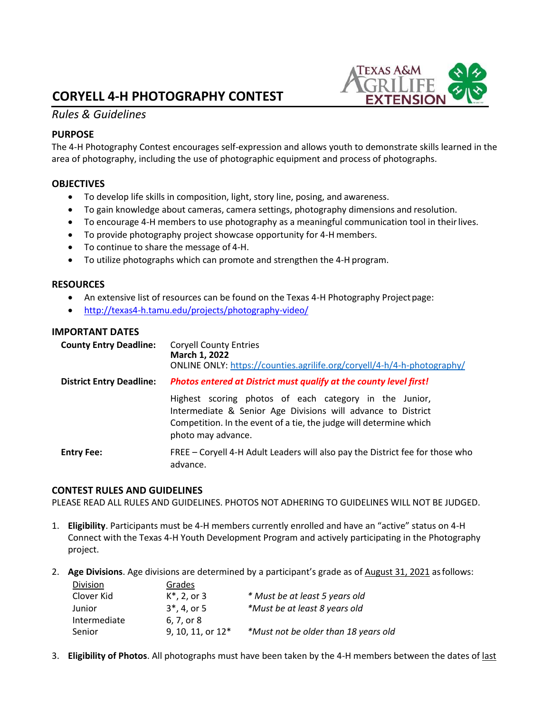# **CORYELL 4-H PHOTOGRAPHY CONTEST**

## *Rules & Guidelines*

### **PURPOSE**

The 4-H Photography Contest encourages self-expression and allows youth to demonstrate skills learned in the area of photography, including the use of photographic equipment and process of photographs.

### **OBJECTIVES**

- To develop life skills in composition, light, story line, posing, and awareness.
- To gain knowledge about cameras, camera settings, photography dimensions and resolution.
- To encourage 4-H members to use photography as a meaningful communication tool in theirlives.
- To provide photography project showcase opportunity for 4-H members.
- To continue to share the message of 4-H.
- To utilize photographs which can promote and strengthen the 4-H program.

#### **RESOURCES**

- An extensive list of resources can be found on the Texas 4-H Photography Project page:
- <http://texas4-h.tamu.edu/projects/photography-video/>

### **IMPORTANT DATES**

| <b>County Entry Deadline:</b>   | <b>Coryell County Entries</b><br>March 1, 2022<br>ONLINE ONLY: https://counties.agrilife.org/coryell/4-h/4-h-photography/                                                                                          |  |
|---------------------------------|--------------------------------------------------------------------------------------------------------------------------------------------------------------------------------------------------------------------|--|
| <b>District Entry Deadline:</b> | Photos entered at District must qualify at the county level first!                                                                                                                                                 |  |
|                                 | Highest scoring photos of each category in the Junior,<br>Intermediate & Senior Age Divisions will advance to District<br>Competition. In the event of a tie, the judge will determine which<br>photo may advance. |  |
| <b>Entry Fee:</b>               | FREE – Coryell 4-H Adult Leaders will also pay the District fee for those who<br>advance.                                                                                                                          |  |

#### **CONTEST RULES AND GUIDELINES**

Division Grades

PLEASE READ ALL RULES AND GUIDELINES. PHOTOS NOT ADHERING TO GUIDELINES WILL NOT BE JUDGED.

- 1. **Eligibility**. Participants must be 4-H members currently enrolled and have an "active" status on 4-H Connect with the Texas 4-H Youth Development Program and actively participating in the Photography project.
- 2. **Age Divisions**. Age divisions are determined by a participant's grade as of August 31, 2021 asfollows:

| <b>DIVISION</b> | Gidues.             |                                      |
|-----------------|---------------------|--------------------------------------|
| Clover Kid      | $K^*$ , 2, or 3     | * Must be at least 5 years old       |
| Junior          | $3^*$ , 4, or 5     | *Must be at least 8 years old        |
| Intermediate    | 6. 7. or 8          |                                      |
| Senior          | 9, 10, 11, or $12*$ | *Must not be older than 18 years old |

3. **Eligibility of Photos**. All photographs must have been taken by the 4-H members between the dates of last

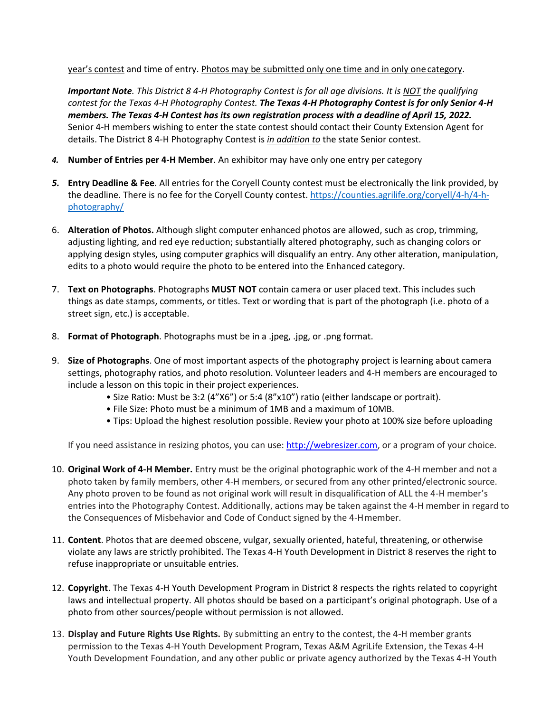year's contest and time of entry. Photos may be submitted only one time and in only one category.

*Important Note. This District 8 4-H Photography Contest is for all age divisions. It is NOT the qualifying contest for the Texas 4-H Photography Contest. The Texas 4-H Photography Contest is for only Senior 4-H members. The Texas 4-H Contest has its own registration process with a deadline of April 15, 2022.* Senior 4-H members wishing to enter the state contest should contact their County Extension Agent for details. The District 8 4-H Photography Contest is *in addition to* the state Senior contest.

- *4.* **Number of Entries per 4-H Member**. An exhibitor may have only one entry per category
- *5.* **Entry Deadline & Fee**. All entries for the Coryell County contest must be electronically the link provided, by the deadline. There is no fee for the Coryell County contest. [https://counties.agrilife.org/coryell/4-h/4-h](https://counties.agrilife.org/coryell/4-h/4-h-photography/)[photography/](https://counties.agrilife.org/coryell/4-h/4-h-photography/)
- 6. **Alteration of Photos.** Although slight computer enhanced photos are allowed, such as crop, trimming, adjusting lighting, and red eye reduction; substantially altered photography, such as changing colors or applying design styles, using computer graphics will disqualify an entry. Any other alteration, manipulation, edits to a photo would require the photo to be entered into the Enhanced category.
- 7. **Text on Photographs**. Photographs **MUST NOT** contain camera or user placed text. This includes such things as date stamps, comments, or titles. Text or wording that is part of the photograph (i.e. photo of a street sign, etc.) is acceptable.
- 8. **Format of Photograph**. Photographs must be in a .jpeg, .jpg, or .png format.
- 9. **Size of Photographs**. One of most important aspects of the photography project is learning about camera settings, photography ratios, and photo resolution. Volunteer leaders and 4-H members are encouraged to include a lesson on this topic in their project experiences.
	- Size Ratio: Must be 3:2 (4"X6") or 5:4 (8"x10") ratio (either landscape or portrait).
	- File Size: Photo must be a minimum of 1MB and a maximum of 10MB.
	- Tips: Upload the highest resolution possible. Review your photo at 100% size before uploading

If you need assistance in resizing photos, you can use: [http://webresizer.com,](http://webresizer.com/) or a program of your choice.

- 10. **Original Work of 4-H Member.** Entry must be the original photographic work of the 4-H member and not a photo taken by family members, other 4-H members, or secured from any other printed/electronic source. Any photo proven to be found as not original work will result in disqualification of ALL the 4-H member's entries into the Photography Contest. Additionally, actions may be taken against the 4-H member in regard to the Consequences of Misbehavior and Code of Conduct signed by the 4-Hmember.
- 11. **Content**. Photos that are deemed obscene, vulgar, sexually oriented, hateful, threatening, or otherwise violate any laws are strictly prohibited. The Texas 4-H Youth Development in District 8 reserves the right to refuse inappropriate or unsuitable entries.
- 12. **Copyright**. The Texas 4-H Youth Development Program in District 8 respects the rights related to copyright laws and intellectual property. All photos should be based on a participant's original photograph. Use of a photo from other sources/people without permission is not allowed.
- 13. **Display and Future Rights Use Rights.** By submitting an entry to the contest, the 4-H member grants permission to the Texas 4-H Youth Development Program, Texas A&M AgriLife Extension, the Texas 4-H Youth Development Foundation, and any other public or private agency authorized by the Texas 4-H Youth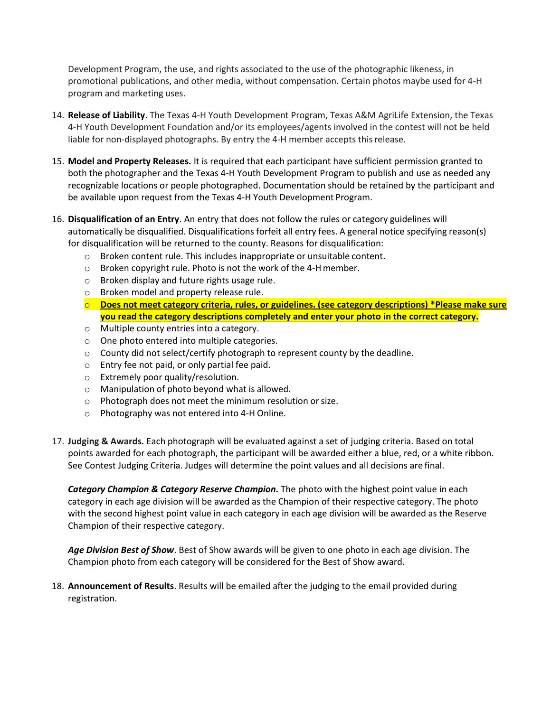Development Program, the use, and rights associated to the use of the photographic likeness, in promotional publications, and other media, without compensation. Certain photos maybe used for 4-H program and marketing uses.

- 14. **Release of Liability**. The Texas 4-H Youth Development Program, Texas A&M AgriLife Extension, the Texas 4-H Youth Development Foundation and/or its employees/agents involved in the contest will not be held liable for non-displayed photographs. By entry the 4-H member accepts thisrelease.
- 15. **Model and Property Releases.** It is required that each participant have sufficient permission granted to both the photographer and the Texas 4-H Youth Development Program to publish and use as needed any recognizable locations or people photographed. Documentation should be retained by the participant and be available upon request from the Texas 4-H Youth Development Program.
- 16. **Disqualification of an Entry**. An entry that does not follow the rules or category guidelines will automatically be disqualified. Disqualifications forfeit all entry fees. A general notice specifying reason(s) for disqualification will be returned to the county. Reasons for disqualification:
	- o Broken content rule. This includes inappropriate or unsuitable content.
	- o Broken copyright rule. Photo is not the work of the 4-Hmember.
	- o Broken display and future rights usage rule.
	- o Broken model and property release rule.
	- o **Does not meet category criteria, rules, or guidelines. (see category descriptions) \*Please make sure you read the category descriptions completely and enter your photo in the correct category.**
	- o Multiple county entries into a category.
	- o One photo entered into multiple categories.
	- $\circ$  County did not select/certify photograph to represent county by the deadline.
	- o Entry fee not paid, or only partial fee paid.
	- o Extremely poor quality/resolution.
	- o Manipulation of photo beyond what is allowed.
	- o Photograph does not meet the minimum resolution orsize.
	- o Photography was not entered into 4-H Online.
- 17. **Judging & Awards.** Each photograph will be evaluated against a set of judging criteria. Based on total points awarded for each photograph, the participant will be awarded either a blue, red, or a white ribbon. See Contest Judging Criteria. Judges will determine the point values and all decisions are final.

*Category Champion & Category Reserve Champion.* The photo with the highest point value in each category in each age division will be awarded as the Champion of their respective category. The photo with the second highest point value in each category in each age division will be awarded as the Reserve Champion of their respective category.

*Age Division Best of Show*. Best of Show awards will be given to one photo in each age division. The Champion photo from each category will be considered for the Best of Show award.

18. **Announcement of Results**. Results will be emailed after the judging to the email provided during registration.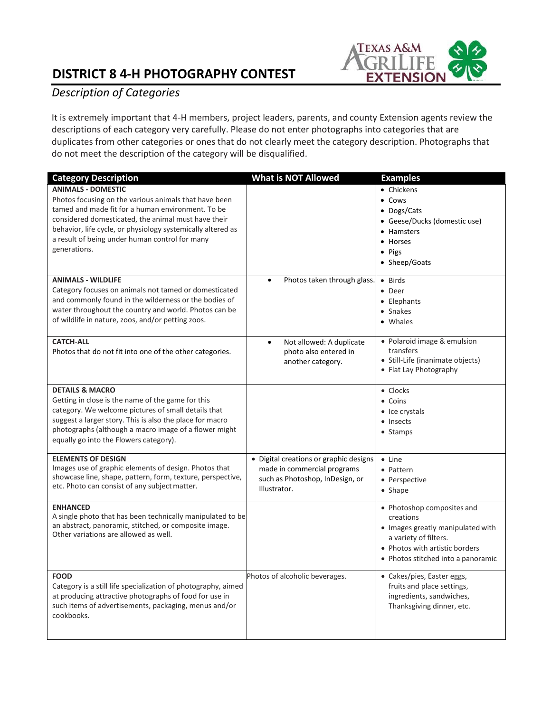# **DISTRICT 8 4-H PHOTOGRAPHY CONTEST**



## *Description of Categories*

It is extremely important that 4-H members, project leaders, parents, and county Extension agents review the descriptions of each category very carefully. Please do not enter photographs into categories that are duplicates from other categories or ones that do not clearly meet the category description. Photographs that do not meet the description of the category will be disqualified.

| <b>Category Description</b>                                                                                                                                                                                                                                                                                                     | What is NOT Allowed                                                                                                      | <b>Examples</b>                                                                                                                                                               |
|---------------------------------------------------------------------------------------------------------------------------------------------------------------------------------------------------------------------------------------------------------------------------------------------------------------------------------|--------------------------------------------------------------------------------------------------------------------------|-------------------------------------------------------------------------------------------------------------------------------------------------------------------------------|
| <b>ANIMALS - DOMESTIC</b><br>Photos focusing on the various animals that have been<br>tamed and made fit for a human environment. To be<br>considered domesticated, the animal must have their<br>behavior, life cycle, or physiology systemically altered as<br>a result of being under human control for many<br>generations. |                                                                                                                          | • Chickens<br>$\bullet$ Cows<br>• Dogs/Cats<br>• Geese/Ducks (domestic use)<br>• Hamsters<br>• Horses<br>$\bullet$ Pigs<br>• Sheep/Goats                                      |
| <b>ANIMALS - WILDLIFE</b><br>Category focuses on animals not tamed or domesticated<br>and commonly found in the wilderness or the bodies of<br>water throughout the country and world. Photos can be<br>of wildlife in nature, zoos, and/or petting zoos.                                                                       | Photos taken through glass.                                                                                              | • Birds<br>• Deer<br>• Elephants<br>• Snakes<br>• Whales                                                                                                                      |
| <b>CATCH-ALL</b><br>Photos that do not fit into one of the other categories.                                                                                                                                                                                                                                                    | Not allowed: A duplicate<br>$\bullet$<br>photo also entered in<br>another category.                                      | · Polaroid image & emulsion<br>transfers<br>• Still-Life (inanimate objects)<br>• Flat Lay Photography                                                                        |
| <b>DETAILS &amp; MACRO</b><br>Getting in close is the name of the game for this<br>category. We welcome pictures of small details that<br>suggest a larger story. This is also the place for macro<br>photographs (although a macro image of a flower might<br>equally go into the Flowers category).                           |                                                                                                                          | • Clocks<br>• Coins<br>• Ice crystals<br>• Insects<br>• Stamps                                                                                                                |
| <b>ELEMENTS OF DESIGN</b><br>Images use of graphic elements of design. Photos that<br>showcase line, shape, pattern, form, texture, perspective,<br>etc. Photo can consist of any subject matter.                                                                                                                               | • Digital creations or graphic designs<br>made in commercial programs<br>such as Photoshop, InDesign, or<br>Illustrator. | $\bullet$ Line<br>• Pattern<br>• Perspective<br>• Shape                                                                                                                       |
| <b>ENHANCED</b><br>A single photo that has been technically manipulated to be<br>an abstract, panoramic, stitched, or composite image.<br>Other variations are allowed as well.                                                                                                                                                 |                                                                                                                          | • Photoshop composites and<br>creations<br>• Images greatly manipulated with<br>a variety of filters.<br>• Photos with artistic borders<br>• Photos stitched into a panoramic |
| <b>FOOD</b><br>Category is a still life specialization of photography, aimed<br>at producing attractive photographs of food for use in<br>such items of advertisements, packaging, menus and/or<br>cookbooks.                                                                                                                   | Photos of alcoholic beverages.                                                                                           | • Cakes/pies, Easter eggs,<br>fruits and place settings,<br>ingredients, sandwiches,<br>Thanksgiving dinner, etc.                                                             |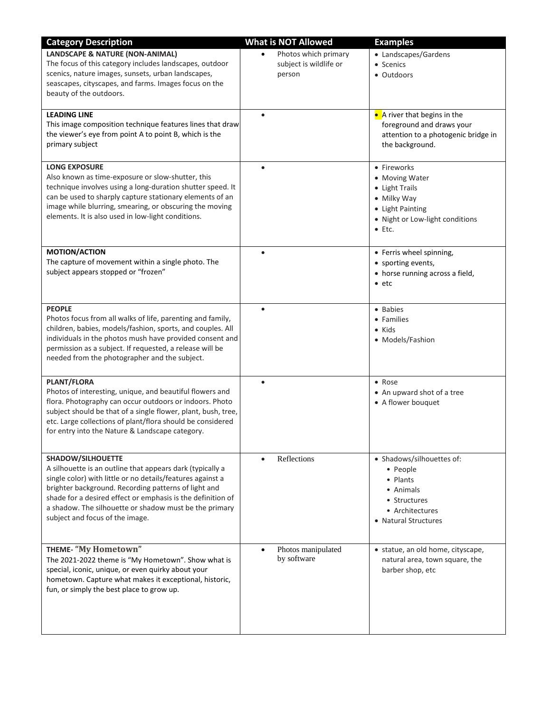| <b>Category Description</b>                                                                                                                                                                                                                                                                                                                                             | <b>What is NOT Allowed</b>                               | <b>Examples</b>                                                                                                                         |
|-------------------------------------------------------------------------------------------------------------------------------------------------------------------------------------------------------------------------------------------------------------------------------------------------------------------------------------------------------------------------|----------------------------------------------------------|-----------------------------------------------------------------------------------------------------------------------------------------|
| <b>LANDSCAPE &amp; NATURE (NON-ANIMAL)</b><br>The focus of this category includes landscapes, outdoor<br>scenics, nature images, sunsets, urban landscapes,<br>seascapes, cityscapes, and farms. Images focus on the<br>beauty of the outdoors.                                                                                                                         | Photos which primary<br>subject is wildlife or<br>person | • Landscapes/Gardens<br>• Scenics<br>• Outdoors                                                                                         |
| <b>LEADING LINE</b><br>This image composition technique features lines that draw<br>the viewer's eye from point A to point B, which is the<br>primary subject                                                                                                                                                                                                           | $\bullet$                                                | • A river that begins in the<br>foreground and draws your<br>attention to a photogenic bridge in<br>the background.                     |
| <b>LONG EXPOSURE</b><br>Also known as time-exposure or slow-shutter, this<br>technique involves using a long-duration shutter speed. It<br>can be used to sharply capture stationary elements of an<br>image while blurring, smearing, or obscuring the moving<br>elements. It is also used in low-light conditions.                                                    | $\bullet$                                                | • Fireworks<br>• Moving Water<br>• Light Trails<br>• Milky Way<br>• Light Painting<br>• Night or Low-light conditions<br>$\bullet$ Etc. |
| <b>MOTION/ACTION</b><br>The capture of movement within a single photo. The<br>subject appears stopped or "frozen"                                                                                                                                                                                                                                                       | $\bullet$                                                | • Ferris wheel spinning,<br>• sporting events,<br>• horse running across a field,<br>$\bullet$ etc                                      |
| <b>PEOPLE</b><br>Photos focus from all walks of life, parenting and family,<br>children, babies, models/fashion, sports, and couples. All<br>individuals in the photos mush have provided consent and<br>permission as a subject. If requested, a release will be<br>needed from the photographer and the subject.                                                      | $\bullet$                                                | • Babies<br>• Families<br>• Kids<br>• Models/Fashion                                                                                    |
| PLANT/FLORA<br>Photos of interesting, unique, and beautiful flowers and<br>flora. Photography can occur outdoors or indoors. Photo<br>subject should be that of a single flower, plant, bush, tree,<br>etc. Large collections of plant/flora should be considered<br>for entry into the Nature & Landscape category.                                                    | $\bullet$                                                | • Rose<br>• An upward shot of a tree<br>• A flower bouquet                                                                              |
| <b>SHADOW/SILHOUETTE</b><br>A silhouette is an outline that appears dark (typically a<br>single color) with little or no details/features against a<br>brighter background. Recording patterns of light and<br>shade for a desired effect or emphasis is the definition of<br>a shadow. The silhouette or shadow must be the primary<br>subject and focus of the image. | Reflections                                              | • Shadows/silhouettes of:<br>• People<br>• Plants<br>• Animals<br>• Structures<br>• Architectures<br>• Natural Structures               |
| <b>THEME- "My Hometown"</b><br>The 2021-2022 theme is "My Hometown". Show what is<br>special, iconic, unique, or even quirky about your<br>hometown. Capture what makes it exceptional, historic,<br>fun, or simply the best place to grow up.                                                                                                                          | Photos manipulated<br>by software                        | • statue, an old home, cityscape,<br>natural area, town square, the<br>barber shop, etc                                                 |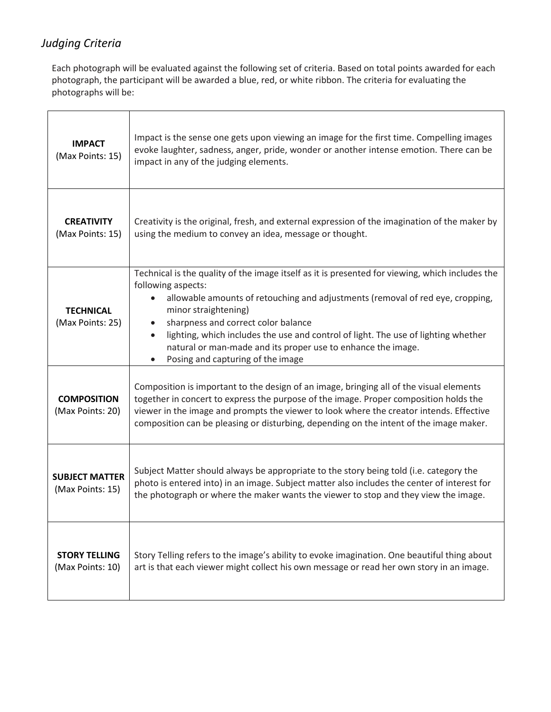## *Judging Criteria*

Each photograph will be evaluated against the following set of criteria. Based on total points awarded for each photograph, the participant will be awarded a blue, red, or white ribbon. The criteria for evaluating the photographs will be:

| <b>IMPACT</b><br>(Max Points: 15)         | Impact is the sense one gets upon viewing an image for the first time. Compelling images<br>evoke laughter, sadness, anger, pride, wonder or another intense emotion. There can be<br>impact in any of the judging elements.                                                                                                                                                                                                                                                                |
|-------------------------------------------|---------------------------------------------------------------------------------------------------------------------------------------------------------------------------------------------------------------------------------------------------------------------------------------------------------------------------------------------------------------------------------------------------------------------------------------------------------------------------------------------|
| <b>CREATIVITY</b><br>(Max Points: 15)     | Creativity is the original, fresh, and external expression of the imagination of the maker by<br>using the medium to convey an idea, message or thought.                                                                                                                                                                                                                                                                                                                                    |
| <b>TECHNICAL</b><br>(Max Points: 25)      | Technical is the quality of the image itself as it is presented for viewing, which includes the<br>following aspects:<br>allowable amounts of retouching and adjustments (removal of red eye, cropping,<br>$\bullet$<br>minor straightening)<br>sharpness and correct color balance<br>lighting, which includes the use and control of light. The use of lighting whether<br>$\bullet$<br>natural or man-made and its proper use to enhance the image.<br>Posing and capturing of the image |
| <b>COMPOSITION</b><br>(Max Points: 20)    | Composition is important to the design of an image, bringing all of the visual elements<br>together in concert to express the purpose of the image. Proper composition holds the<br>viewer in the image and prompts the viewer to look where the creator intends. Effective<br>composition can be pleasing or disturbing, depending on the intent of the image maker.                                                                                                                       |
| <b>SUBJECT MATTER</b><br>(Max Points: 15) | Subject Matter should always be appropriate to the story being told (i.e. category the<br>photo is entered into) in an image. Subject matter also includes the center of interest for<br>the photograph or where the maker wants the viewer to stop and they view the image.                                                                                                                                                                                                                |
| <b>STORY TELLING</b><br>(Max Points: 10)  | Story Telling refers to the image's ability to evoke imagination. One beautiful thing about<br>art is that each viewer might collect his own message or read her own story in an image.                                                                                                                                                                                                                                                                                                     |